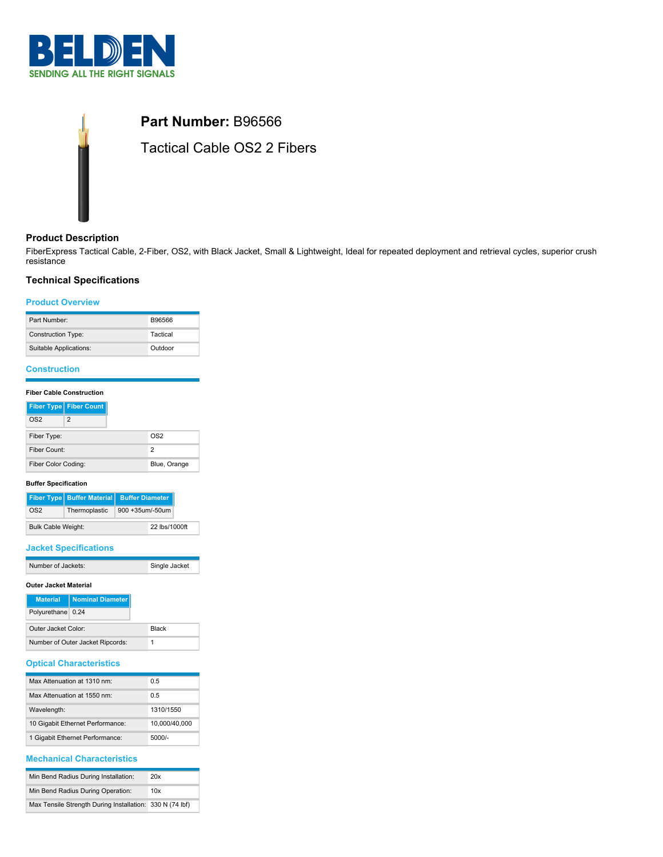



## **Product Description**

FiberExpress Tactical Cable, 2-Fiber, OS2, with Black Jacket, Small & Lightweight, Ideal for repeated deployment and retrieval cycles, superior crush resistance

## **Technical Specifications**

### **Product Overview**

| Part Number:              | <b>B96566</b> |
|---------------------------|---------------|
| <b>Construction Type:</b> | Tactical      |
| Suitable Applications:    | Outdoor       |

# **Construction**

# **Fiber Cable Construction**

|                     | Fiber Type   Fiber Count |
|---------------------|--------------------------|
| OS2                 | 2                        |
| Fiber Type:         |                          |
| Fiber Count:        |                          |
| Fiber Color Coding: |                          |

### **Buffer Specification**

|                           |               | Fiber Type Buffer Material Buffer Diameter |  |
|---------------------------|---------------|--------------------------------------------|--|
| OS2                       | Thermoplastic | 900 +35um/-50um                            |  |
| <b>Bulk Cable Weight:</b> |               | 22 lbs/1000ft                              |  |

### **Jacket Specifications**

| Number of Jackets: | Single Jacket |
|--------------------|---------------|

#### **Outer Jacket Material**

| <b>Material</b>                  | Nominal Diameter |              |
|----------------------------------|------------------|--------------|
| Polyurethane 0.24                |                  |              |
| Outer Jacket Color:              |                  | <b>Black</b> |
| Number of Outer Jacket Ripcords: |                  |              |

## **Optical Characteristics**

| Max Attenuation at 1310 nm:      | 0 5           |
|----------------------------------|---------------|
| Max Attenuation at 1550 nm:      | 0 5           |
| Wavelength:                      | 1310/1550     |
| 10 Gigabit Ethernet Performance: | 10.000/40.000 |
| 1 Gigabit Ethernet Performance:  | 5000/-        |

## **Mechanical Characteristics**

| Min Bend Radius During Installation:                     | 20x |
|----------------------------------------------------------|-----|
| Min Bend Radius During Operation:                        | 10x |
| Max Tensile Strength During Installation: 330 N (74 lbf) |     |